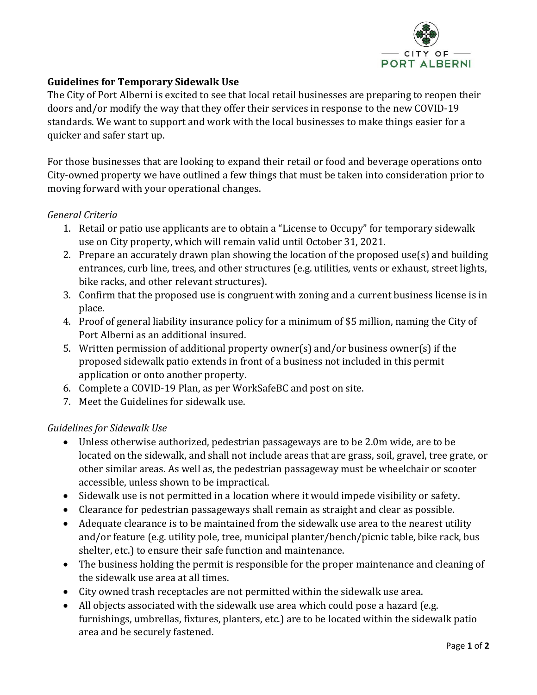

## **Guidelines for Temporary Sidewalk Use**

The City of Port Alberni is excited to see that local retail businesses are preparing to reopen their doors and/or modify the way that they offer their services in response to the new COVID-19 standards. We want to support and work with the local businesses to make things easier for a quicker and safer start up.

For those businesses that are looking to expand their retail or food and beverage operations onto City-owned property we have outlined a few things that must be taken into consideration prior to moving forward with your operational changes.

## *General Criteria*

- 1. Retail or patio use applicants are to obtain a "License to Occupy" for temporary sidewalk use on City property, which will remain valid until October 31, 2021.
- 2. Prepare an accurately drawn plan showing the location of the proposed use(s) and building entrances, curb line, trees, and other structures (e.g. utilities, vents or exhaust, street lights, bike racks, and other relevant structures).
- 3. Confirm that the proposed use is congruent with zoning and a current business license is in place.
- 4. Proof of general liability insurance policy for a minimum of \$5 million, naming the City of Port Alberni as an additional insured.
- 5. Written permission of additional property owner(s) and/or business owner(s) if the proposed sidewalk patio extends in front of a business not included in this permit application or onto another property.
- 6. Complete a COVID-19 Plan, as per WorkSafeBC and post on site.
- 7. Meet the Guidelines for sidewalk use.

## *Guidelines for Sidewalk Use*

- Unless otherwise authorized, pedestrian passageways are to be 2.0m wide, are to be located on the sidewalk, and shall not include areas that are grass, soil, gravel, tree grate, or other similar areas. As well as, the pedestrian passageway must be wheelchair or scooter accessible, unless shown to be impractical.
- Sidewalk use is not permitted in a location where it would impede visibility or safety.
- Clearance for pedestrian passageways shall remain as straight and clear as possible.
- Adequate clearance is to be maintained from the sidewalk use area to the nearest utility and/or feature (e.g. utility pole, tree, municipal planter/bench/picnic table, bike rack, bus shelter, etc.) to ensure their safe function and maintenance.
- The business holding the permit is responsible for the proper maintenance and cleaning of the sidewalk use area at all times.
- City owned trash receptacles are not permitted within the sidewalk use area.
- All objects associated with the sidewalk use area which could pose a hazard (e.g. furnishings, umbrellas, fixtures, planters, etc.) are to be located within the sidewalk patio area and be securely fastened.